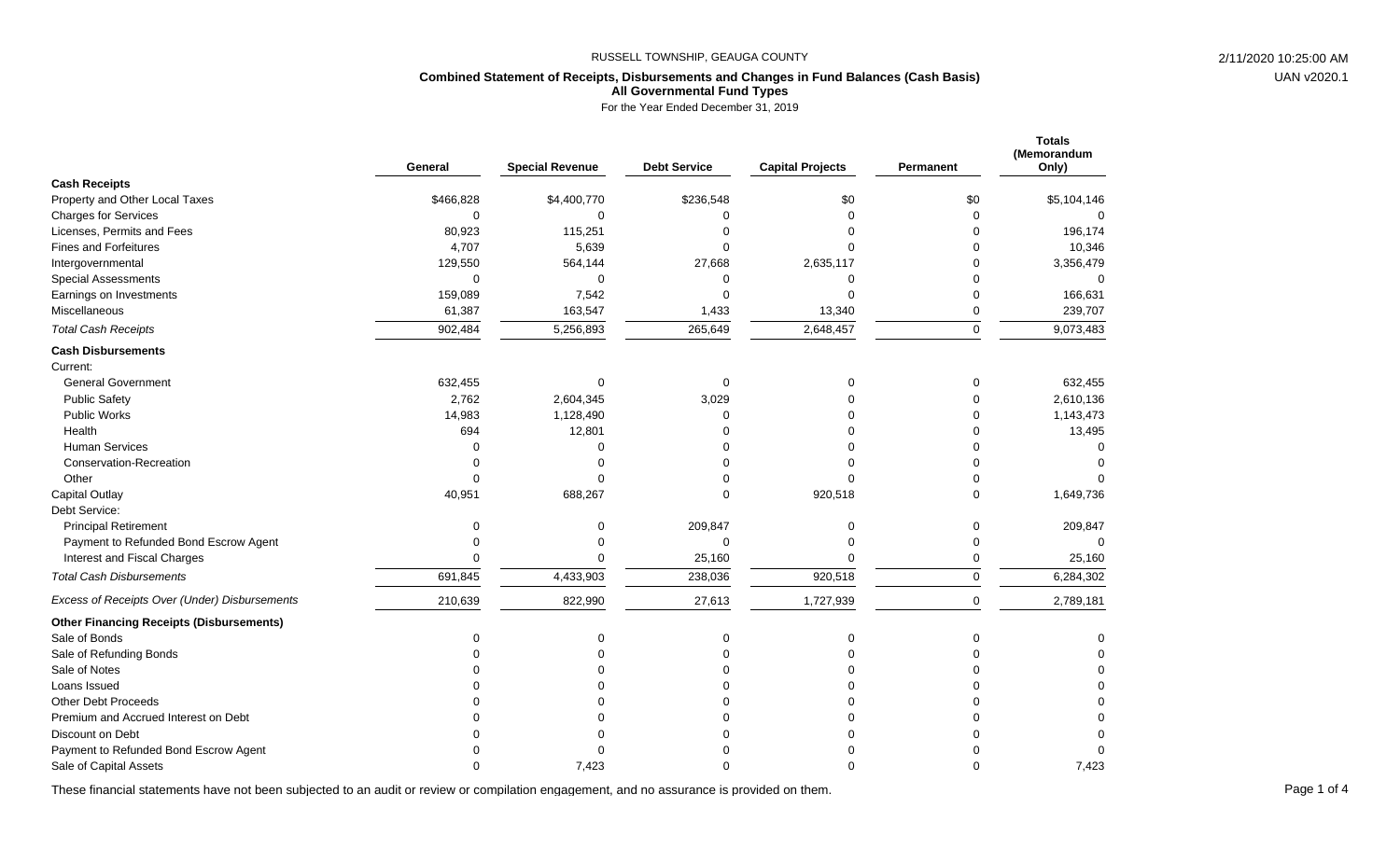#### **Combined Statement of Receipts, Disbursements and Changes in Fund Balances (Cash Basis) All Governmental Fund Types**

For the Year Ended December 31, 2019

|                                                 | General     | <b>Special Revenue</b> | <b>Debt Service</b> | <b>Capital Projects</b> | Permanent | <b>Totals</b><br>(Memorandum<br>Only) |
|-------------------------------------------------|-------------|------------------------|---------------------|-------------------------|-----------|---------------------------------------|
| <b>Cash Receipts</b>                            |             |                        |                     |                         |           |                                       |
| Property and Other Local Taxes                  | \$466,828   | \$4,400,770            | \$236,548           | \$0                     | \$0       | \$5,104,146                           |
| <b>Charges for Services</b>                     | $\mathbf 0$ | $\Omega$               | $\mathbf 0$         | $\Omega$                | 0         | $\Omega$                              |
| Licenses, Permits and Fees                      | 80,923      | 115,251                | $\Omega$            | $\Omega$                | $\Omega$  | 196,174                               |
| Fines and Forfeitures                           | 4,707       | 5,639                  | $\Omega$            | $\Omega$                | $\Omega$  | 10,346                                |
| Intergovernmental                               | 129,550     | 564,144                | 27,668              | 2,635,117               | 0         | 3,356,479                             |
| <b>Special Assessments</b>                      | $\mathbf 0$ | $\Omega$               | 0                   | $\mathbf 0$             | $\Omega$  | $\Omega$                              |
| Earnings on Investments                         | 159,089     | 7,542                  | $\mathbf 0$         | $\Omega$                | 0         | 166,631                               |
| Miscellaneous                                   | 61,387      | 163,547                | 1,433               | 13,340                  | 0         | 239,707                               |
| <b>Total Cash Receipts</b>                      | 902,484     | 5,256,893              | 265,649             | 2,648,457               | 0         | 9,073,483                             |
| <b>Cash Disbursements</b>                       |             |                        |                     |                         |           |                                       |
| Current:                                        |             |                        |                     |                         |           |                                       |
| <b>General Government</b>                       | 632,455     | $\mathbf 0$            | 0                   | 0                       | 0         | 632,455                               |
| <b>Public Safety</b>                            | 2,762       | 2,604,345              | 3,029               | $\Omega$                | 0         | 2,610,136                             |
| Public Works                                    | 14,983      | 1,128,490              | $\Omega$            | $\Omega$                | 0         | 1,143,473                             |
| Health                                          | 694         | 12,801                 | $\Omega$            | $\Omega$                | $\Omega$  | 13,495                                |
| <b>Human Services</b>                           | $\Omega$    | $\Omega$               | $\Omega$            | $\Omega$                | $\Omega$  | 0                                     |
| Conservation-Recreation                         | $\mathbf 0$ | $\Omega$               | $\Omega$            | $\Omega$                | $\Omega$  |                                       |
| Other                                           | $\Omega$    | $\Omega$               | $\Omega$            | $\Omega$                | $\Omega$  |                                       |
| Capital Outlay                                  | 40,951      | 688,267                | $\Omega$            | 920,518                 | $\Omega$  | 1,649,736                             |
| Debt Service:                                   |             |                        |                     |                         |           |                                       |
| <b>Principal Retirement</b>                     | 0           | 0                      | 209,847             | 0                       | 0         | 209,847                               |
| Payment to Refunded Bond Escrow Agent           | $\mathbf 0$ | $\Omega$               | $\mathbf 0$         | $\Omega$                | 0         | $\Omega$                              |
| Interest and Fiscal Charges                     | $\Omega$    | $\Omega$               | 25,160              | $\Omega$                | 0         | 25,160                                |
| <b>Total Cash Disbursements</b>                 | 691,845     | 4,433,903              | 238,036             | 920,518                 | $\pmb{0}$ | 6,284,302                             |
| Excess of Receipts Over (Under) Disbursements   | 210,639     | 822,990                | 27,613              | 1,727,939               | 0         | 2,789,181                             |
| <b>Other Financing Receipts (Disbursements)</b> |             |                        |                     |                         |           |                                       |
| Sale of Bonds                                   | 0           | 0                      | 0                   | 0                       | 0         | 0                                     |
| Sale of Refunding Bonds                         | $\Omega$    | $\Omega$               | $\Omega$            | $\Omega$                | $\Omega$  | $\Omega$                              |
| Sale of Notes                                   | $\Omega$    | $\Omega$               | $\Omega$            | $\Omega$                | $\Omega$  | $\mathbf 0$                           |
| Loans Issued                                    | $\Omega$    |                        | $\Omega$            | $\Omega$                | $\Omega$  | $\Omega$                              |
| <b>Other Debt Proceeds</b>                      | $\Omega$    | ∩                      | $\Omega$            | $\Omega$                | $\Omega$  | $\mathbf 0$                           |
| Premium and Accrued Interest on Debt            | $\Omega$    | ∩                      | $\Omega$            | $\Omega$                | $\Omega$  | $\Omega$                              |
| Discount on Debt                                | $\Omega$    |                        | $\Omega$            |                         | $\Omega$  | $\Omega$                              |
| Payment to Refunded Bond Escrow Agent           | $\Omega$    | $\Omega$               | $\Omega$            |                         | $\Omega$  | $\Omega$                              |
| Sale of Capital Assets                          | $\Omega$    | 7.423                  | $\Omega$            | ∩                       | $\Omega$  | 7,423                                 |

These financial statements have not been subjected to an audit or review or compilation engagement, and no assurance is provided on them.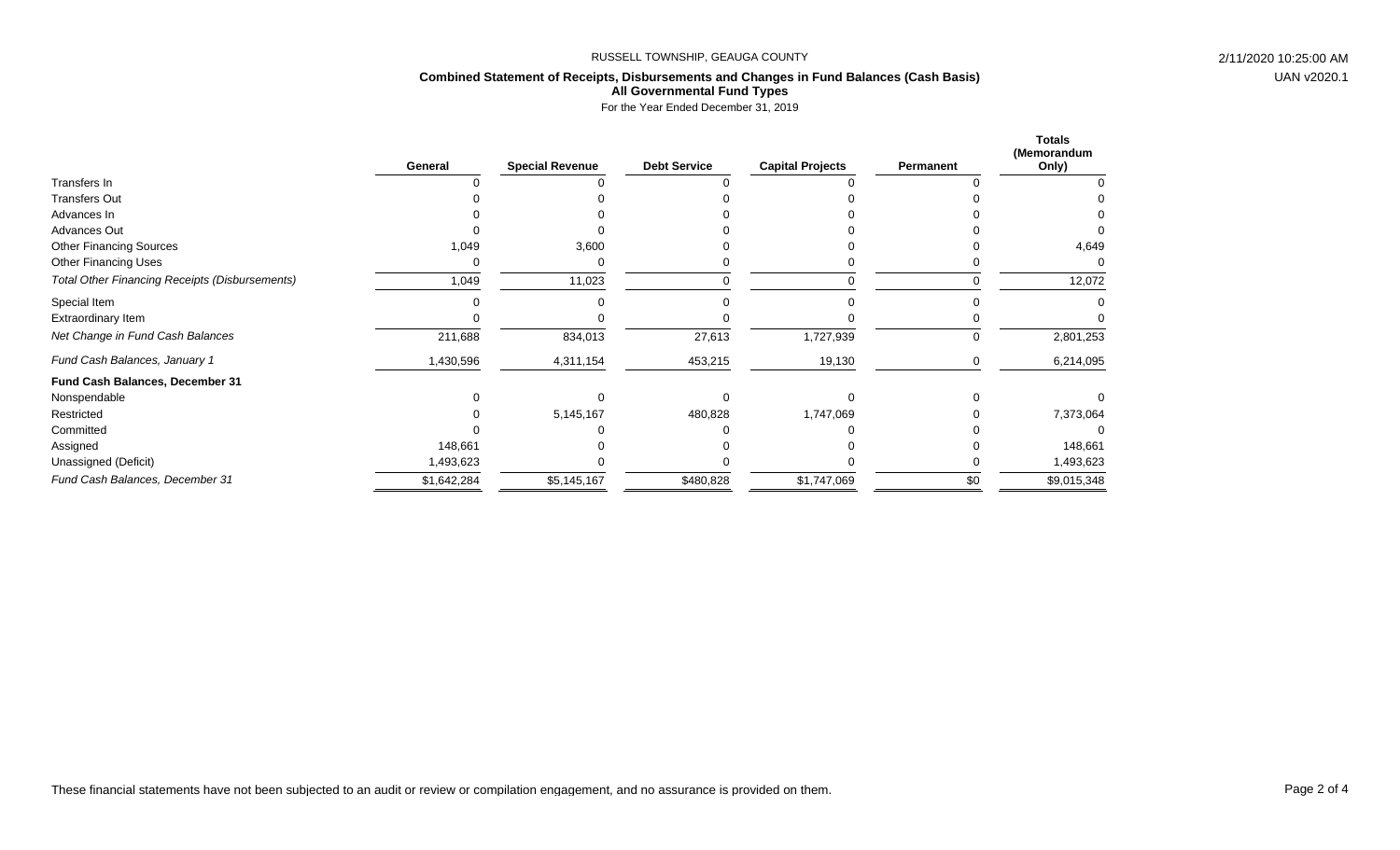# **Combined Statement of Receipts, Disbursements and Changes in Fund Balances (Cash Basis) All Governmental Fund Types**

For the Year Ended December 31, 2019

|                                                       | General     | <b>Special Revenue</b> | <b>Debt Service</b> | <b>Capital Projects</b> | Permanent | <b>Totals</b><br>(Memorandum<br>Only) |
|-------------------------------------------------------|-------------|------------------------|---------------------|-------------------------|-----------|---------------------------------------|
| Transfers In                                          |             |                        |                     |                         |           |                                       |
| <b>Transfers Out</b>                                  |             |                        |                     |                         |           |                                       |
| Advances In                                           |             |                        |                     |                         |           |                                       |
| Advances Out                                          |             |                        |                     |                         |           |                                       |
| <b>Other Financing Sources</b>                        | 1,049       | 3,600                  |                     |                         |           | 4,649                                 |
| <b>Other Financing Uses</b>                           |             |                        |                     |                         |           |                                       |
| <b>Total Other Financing Receipts (Disbursements)</b> | 1,049       | 11,023                 |                     |                         |           | 12,072                                |
| Special Item                                          |             |                        |                     |                         |           |                                       |
| Extraordinary Item                                    |             |                        |                     |                         |           |                                       |
| Net Change in Fund Cash Balances                      | 211,688     | 834,013                | 27,613              | 1,727,939               | U         | 2,801,253                             |
| Fund Cash Balances, January 1                         | 1,430,596   | 4,311,154              | 453,215             | 19,130                  |           | 6,214,095                             |
| Fund Cash Balances, December 31                       |             |                        |                     |                         |           |                                       |
| Nonspendable                                          |             |                        |                     |                         |           |                                       |
| Restricted                                            |             | 5,145,167              | 480,828             | 1,747,069               |           | 7,373,064                             |
| Committed                                             |             |                        |                     |                         |           |                                       |
| Assigned                                              | 148,661     |                        |                     |                         |           | 148,661                               |
| Unassigned (Deficit)                                  | 1,493,623   |                        |                     |                         |           | 1,493,623                             |
| Fund Cash Balances, December 31                       | \$1,642,284 | \$5,145,167            | \$480,828           | \$1,747,069             | \$0       | \$9,015,348                           |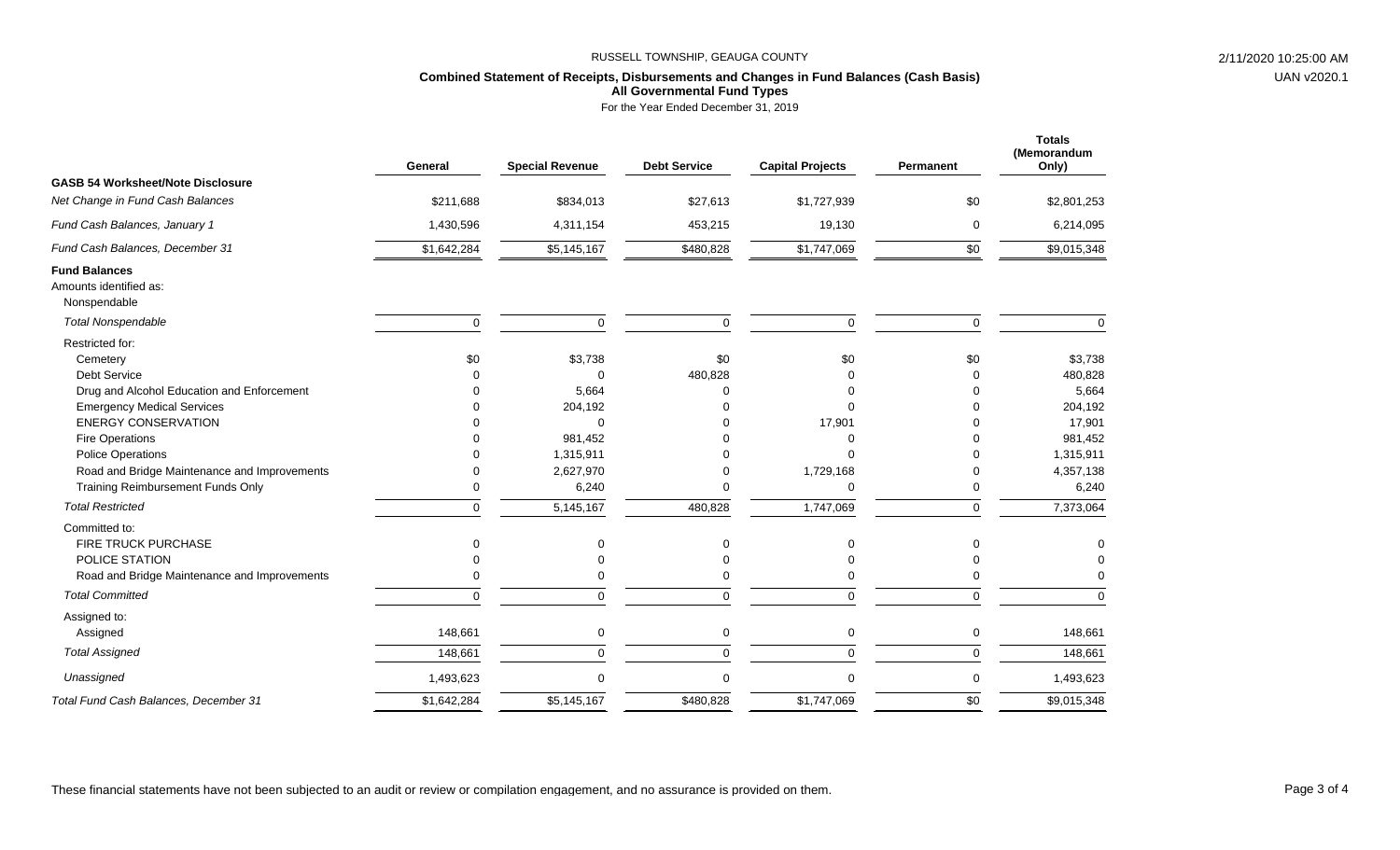# **Combined Statement of Receipts, Disbursements and Changes in Fund Balances (Cash Basis) All Governmental Fund Types**

For the Year Ended December 31, 2019

|                                                                | General     | <b>Special Revenue</b> | <b>Debt Service</b> | <b>Capital Projects</b> | Permanent       | <b>Totals</b><br>(Memorandum<br>Only) |
|----------------------------------------------------------------|-------------|------------------------|---------------------|-------------------------|-----------------|---------------------------------------|
| <b>GASB 54 Worksheet/Note Disclosure</b>                       |             |                        |                     |                         |                 |                                       |
| Net Change in Fund Cash Balances                               | \$211,688   | \$834,013              | \$27,613            | \$1,727,939             | \$0             | \$2,801,253                           |
| Fund Cash Balances, January 1                                  | 1,430,596   | 4,311,154              | 453,215             | 19,130                  | 0               | 6,214,095                             |
| Fund Cash Balances, December 31                                | \$1,642,284 | \$5,145,167            | \$480,828           | \$1,747,069             | \$0             | \$9,015,348                           |
| <b>Fund Balances</b><br>Amounts identified as:<br>Nonspendable |             |                        |                     |                         |                 |                                       |
| <b>Total Nonspendable</b>                                      | $\mathbf 0$ | $\Omega$               | $\Omega$            | $\mathbf 0$             | $\mathbf 0$     | $\Omega$                              |
| Restricted for:<br>Cemetery<br><b>Debt Service</b>             | \$0<br>∩    | \$3,738<br>$\Omega$    | \$0<br>480,828      | \$0<br>0                | \$0<br>$\Omega$ | \$3,738<br>480,828                    |
| Drug and Alcohol Education and Enforcement                     | ∩           | 5,664                  | U                   | 0                       | $\Omega$        | 5,664                                 |
| <b>Emergency Medical Services</b>                              | $\Omega$    | 204,192                |                     | $\Omega$                | $\Omega$        | 204,192                               |
| <b>ENERGY CONSERVATION</b>                                     | $\Omega$    | $\Omega$               |                     | 17,901                  | $\Omega$        | 17,901                                |
| <b>Fire Operations</b>                                         |             | 981,452                |                     | 0                       | $\Omega$        | 981,452                               |
| <b>Police Operations</b>                                       |             | 1,315,911              |                     | O                       | $\Omega$        | 1,315,911                             |
| Road and Bridge Maintenance and Improvements                   | 0           | 2,627,970              |                     | 1,729,168               | 0               | 4,357,138                             |
| Training Reimbursement Funds Only                              | $\Omega$    | 6,240                  | U                   | $\mathbf 0$             | 0               | 6,240                                 |
| <b>Total Restricted</b>                                        | $\Omega$    | 5,145,167              | 480,828             | 1,747,069               | $\Omega$        | 7,373,064                             |
| Committed to:                                                  |             |                        |                     |                         |                 |                                       |
| <b>FIRE TRUCK PURCHASE</b>                                     |             | $\Omega$               | $\Omega$            | $\Omega$                | $\Omega$        |                                       |
| POLICE STATION                                                 |             | $\Omega$               | 0                   | 0                       | O               |                                       |
| Road and Bridge Maintenance and Improvements                   | ∩           | ∩                      | ∩                   | 0                       | ∩               |                                       |
| <b>Total Committed</b>                                         | $\mathbf 0$ | $\mathbf 0$            | $\mathbf 0$         | 0                       | $\pmb{0}$       | $\Omega$                              |
| Assigned to:<br>Assigned                                       | 148,661     | 0                      | $\mathbf 0$         | 0                       | $\mathbf 0$     | 148,661                               |
| <b>Total Assigned</b>                                          | 148,661     | $\Omega$               | $\Omega$            | $\Omega$                | $\Omega$        | 148,661                               |
|                                                                |             |                        |                     |                         |                 |                                       |
| Unassigned                                                     | 1,493,623   | ∩                      | $\Omega$            | $\Omega$                | $\mathbf 0$     | 1,493,623                             |
| Total Fund Cash Balances, December 31                          | \$1,642,284 | \$5,145,167            | \$480,828           | \$1,747,069             | \$0             | \$9,015,348                           |